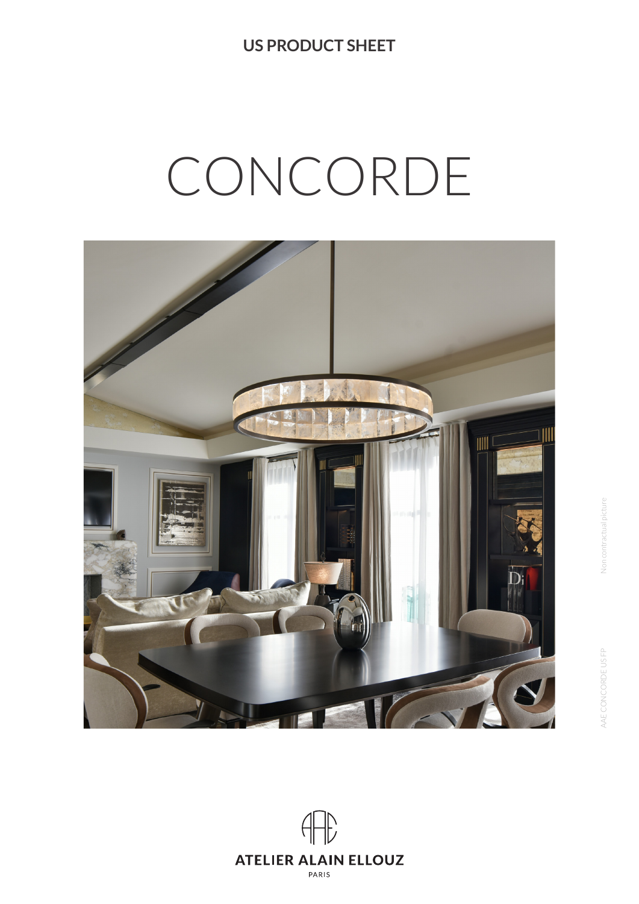**US PRODUCT SHEET**

# CONCORDE



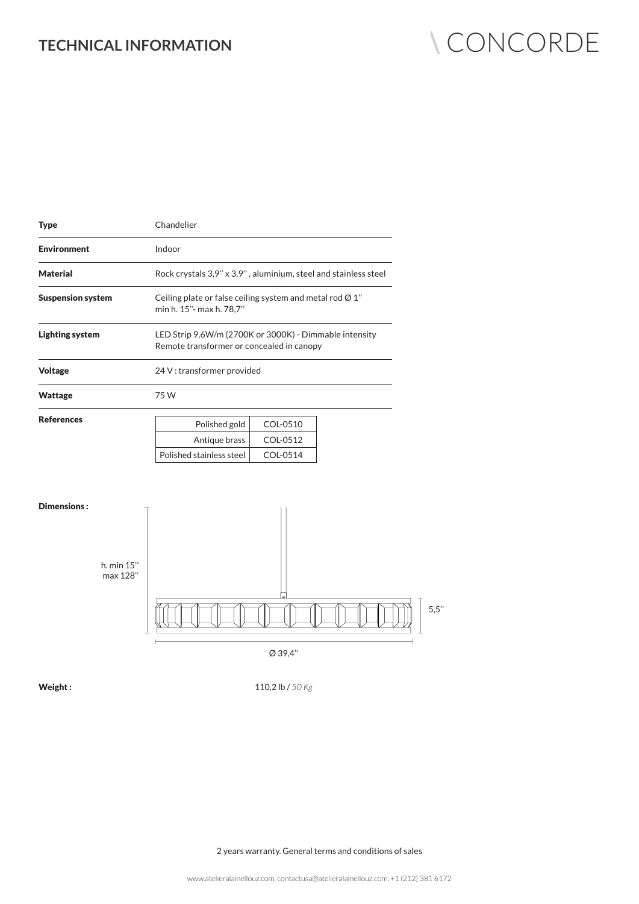# TECHNICAL INFORMATION **CONCORDE**

| <b>Type</b>              | Chandelier                                                                                          |          |  |
|--------------------------|-----------------------------------------------------------------------------------------------------|----------|--|
| <b>Environment</b>       | Indoor                                                                                              |          |  |
| <b>Material</b>          | Rock crystals 3,9" x 3,9", aluminium, steel and stainless steel                                     |          |  |
| <b>Suspension system</b> | Ceiling plate or false ceiling system and metal rod $\varnothing$ 1"<br>min h. 15"- max h. 78,7"    |          |  |
| <b>Lighting system</b>   | LED Strip 9,6W/m (2700K or 3000K) - Dimmable intensity<br>Remote transformer or concealed in canopy |          |  |
| <b>Voltage</b>           | 24 V: transformer provided                                                                          |          |  |
| <b>Wattage</b>           | 75 W                                                                                                |          |  |
| <b>References</b>        | Polished gold                                                                                       | COL-0510 |  |
|                          | Antique brass                                                                                       | COL-0512 |  |
|                          | Polished stainless steel                                                                            | COL-0514 |  |



Ø 39,4''

Weight :

110,2 lb / *50 Kg* 

2 years warranty. General terms and conditions of sales